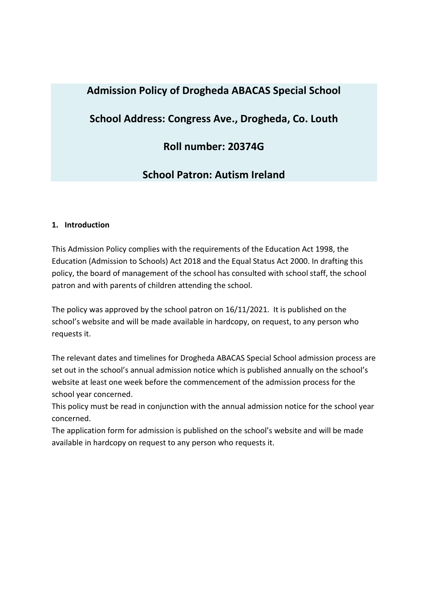# **Admission Policy of Drogheda ABACAS Special School**

# **School Address: Congress Ave., Drogheda, Co. Louth**

# **Roll number: 20374G**

# **School Patron: Autism Ireland**

#### **1. Introduction**

This Admission Policy complies with the requirements of the Education Act 1998, the Education (Admission to Schools) Act 2018 and the Equal Status Act 2000. In drafting this policy, the board of management of the school has consulted with school staff, the school patron and with parents of children attending the school.

The policy was approved by the school patron on 16/11/2021. It is published on the school's website and will be made available in hardcopy, on request, to any person who requests it.

The relevant dates and timelines for Drogheda ABACAS Special School admission process are set out in the school's annual admission notice which is published annually on the school's website at least one week before the commencement of the admission process for the school year concerned.

This policy must be read in conjunction with the annual admission notice for the school year concerned.

The application form for admission is published on the school's website and will be made available in hardcopy on request to any person who requests it.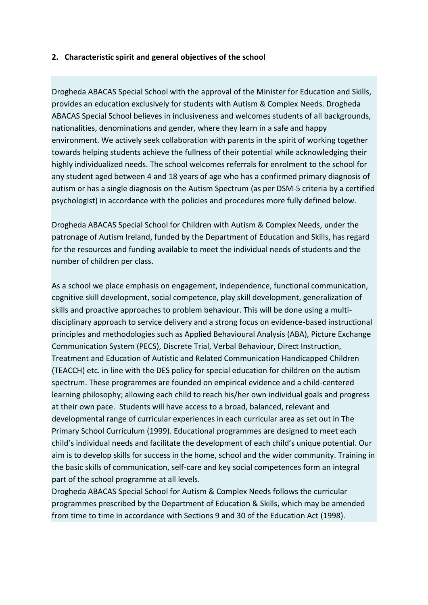#### **2. Characteristic spirit and general objectives of the school**

Drogheda ABACAS Special School with the approval of the Minister for Education and Skills, provides an education exclusively for students with Autism & Complex Needs. Drogheda ABACAS Special School believes in inclusiveness and welcomes students of all backgrounds, nationalities, denominations and gender, where they learn in a safe and happy environment. We actively seek collaboration with parents in the spirit of working together towards helping students achieve the fullness of their potential while acknowledging their highly individualized needs. The school welcomes referrals for enrolment to the school for any student aged between 4 and 18 years of age who has a confirmed primary diagnosis of autism or has a single diagnosis on the Autism Spectrum (as per DSM-5 criteria by a certified psychologist) in accordance with the policies and procedures more fully defined below.

Drogheda ABACAS Special School for Children with Autism & Complex Needs, under the patronage of Autism Ireland, funded by the Department of Education and Skills, has regard for the resources and funding available to meet the individual needs of students and the number of children per class.

As a school we place emphasis on engagement, independence, functional communication, cognitive skill development, social competence, play skill development, generalization of skills and proactive approaches to problem behaviour. This will be done using a multidisciplinary approach to service delivery and a strong focus on evidence-based instructional principles and methodologies such as Applied Behavioural Analysis (ABA), Picture Exchange Communication System (PECS), Discrete Trial, Verbal Behaviour, Direct Instruction, Treatment and Education of Autistic and Related Communication Handicapped Children (TEACCH) etc. in line with the DES policy for special education for children on the autism spectrum. These programmes are founded on empirical evidence and a child-centered learning philosophy; allowing each child to reach his/her own individual goals and progress at their own pace. Students will have access to a broad, balanced, relevant and developmental range of curricular experiences in each curricular area as set out in The Primary School Curriculum (1999). Educational programmes are designed to meet each child's individual needs and facilitate the development of each child's unique potential. Our aim is to develop skills for success in the home, school and the wider community. Training in the basic skills of communication, self-care and key social competences form an integral part of the school programme at all levels.

Drogheda ABACAS Special School for Autism & Complex Needs follows the curricular programmes prescribed by the Department of Education & Skills, which may be amended from time to time in accordance with Sections 9 and 30 of the Education Act (1998).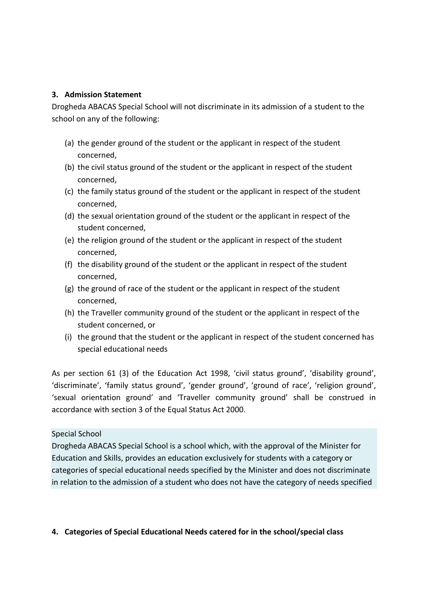#### **3. Admission Statement**

Drogheda ABACAS Special School will not discriminate in its admission of a student to the school on any of the following:

- (a) the gender ground of the student or the applicant in respect of the student concerned,
- (b) the civil status ground of the student or the applicant in respect of the student concerned,
- (c) the family status ground of the student or the applicant in respect of the student concerned,
- (d) the sexual orientation ground of the student or the applicant in respect of the student concerned,
- (e) the religion ground of the student or the applicant in respect of the student concerned,
- (f) the disability ground of the student or the applicant in respect of the student concerned,
- (g) the ground of race of the student or the applicant in respect of the student concerned,
- (h) the Traveller community ground of the student or the applicant in respect of the student concerned, or
- (i) the ground that the student or the applicant in respect of the student concerned has special educational needs

As per section 61 (3) of the Education Act 1998, 'civil status ground', 'disability ground', 'discriminate', 'family status ground', 'gender ground', 'ground of race', 'religion ground', 'sexual orientation ground' and 'Traveller community ground' shall be construed in accordance with section 3 of the Equal Status Act 2000.

## Special School

Drogheda ABACAS Special School is a school which, with the approval of the Minister for Education and Skills, provides an education exclusively for students with a category or categories of special educational needs specified by the Minister and does not discriminate in relation to the admission of a student who does not have the category of needs specified

#### **4. Categories of Special Educational Needs catered for in the school/special class**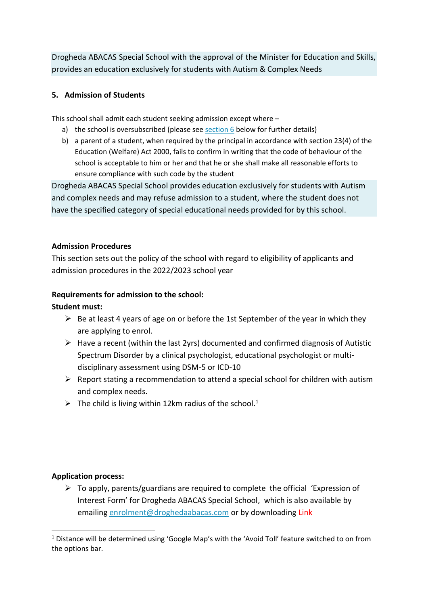Drogheda ABACAS Special School with the approval of the Minister for Education and Skills, provides an education exclusively for students with Autism & Complex Needs

## **5. Admission of Students**

This school shall admit each student seeking admission except where –

- a) the school is oversubscribed (please see section 6 below for further details)
- b) a parent of a student, when required by the principal in accordance with section 23(4) of the Education (Welfare) Act 2000, fails to confirm in writing that the code of behaviour of the school is acceptable to him or her and that he or she shall make all reasonable efforts to ensure compliance with such code by the student

Drogheda ABACAS Special School provides education exclusively for students with Autism and complex needs and may refuse admission to a student, where the student does not have the specified category of special educational needs provided for by this school.

## **Admission Procedures**

This section sets out the policy of the school with regard to eligibility of applicants and admission procedures in the 2022/2023 school year

## **Requirements for admission to the school:**

## **Student must:**

- $\triangleright$  Be at least 4 years of age on or before the 1st September of the year in which they are applying to enrol.
- $\triangleright$  Have a recent (within the last 2yrs) documented and confirmed diagnosis of Autistic Spectrum Disorder by a clinical psychologist, educational psychologist or multidisciplinary assessment using DSM-5 or ICD-10
- $\triangleright$  Report stating a recommendation to attend a special school for children with autism and complex needs.
- $\triangleright$  The child is living within 12km radius of the school.<sup>1</sup>

## **Application process:**

**.** 

 $\triangleright$  To apply, parents/guardians are required to complete the official 'Expression of Interest Form' for Drogheda ABACAS Special School, which is also available by emailing [enrolment@droghedaabacas.com](mailto:enrolment@droghedaabacas.com) or by downloading Link

<sup>&</sup>lt;sup>1</sup> Distance will be determined using 'Google Map's with the 'Avoid Toll' feature switched to on from the options bar.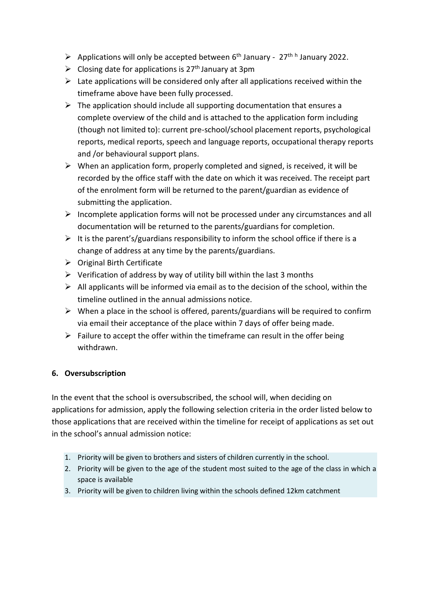- $\triangleright$  Applications will only be accepted between 6<sup>th</sup> January 27<sup>th h</sup> January 2022.
- $\triangleright$  Closing date for applications is 27<sup>th</sup> January at 3pm
- $\triangleright$  Late applications will be considered only after all applications received within the timeframe above have been fully processed.
- $\triangleright$  The application should include all supporting documentation that ensures a complete overview of the child and is attached to the application form including (though not limited to): current pre-school/school placement reports, psychological reports, medical reports, speech and language reports, occupational therapy reports and /or behavioural support plans.
- $\triangleright$  When an application form, properly completed and signed, is received, it will be recorded by the office staff with the date on which it was received. The receipt part of the enrolment form will be returned to the parent/guardian as evidence of submitting the application.
- $\triangleright$  Incomplete application forms will not be processed under any circumstances and all documentation will be returned to the parents/guardians for completion.
- $\triangleright$  It is the parent's/guardians responsibility to inform the school office if there is a change of address at any time by the parents/guardians.
- $\triangleright$  Original Birth Certificate
- $\triangleright$  Verification of address by way of utility bill within the last 3 months
- $\triangleright$  All applicants will be informed via email as to the decision of the school, within the timeline outlined in the annual admissions notice.
- $\triangleright$  When a place in the school is offered, parents/guardians will be required to confirm via email their acceptance of the place within 7 days of offer being made.
- $\triangleright$  Failure to accept the offer within the timeframe can result in the offer being withdrawn.

# **6. Oversubscription**

In the event that the school is oversubscribed, the school will, when deciding on applications for admission, apply the following selection criteria in the order listed below to those applications that are received within the timeline for receipt of applications as set out in the school's annual admission notice:

- 1. Priority will be given to brothers and sisters of children currently in the school.
- 2. Priority will be given to the age of the student most suited to the age of the class in which a space is available
- 3. Priority will be given to children living within the schools defined 12km catchment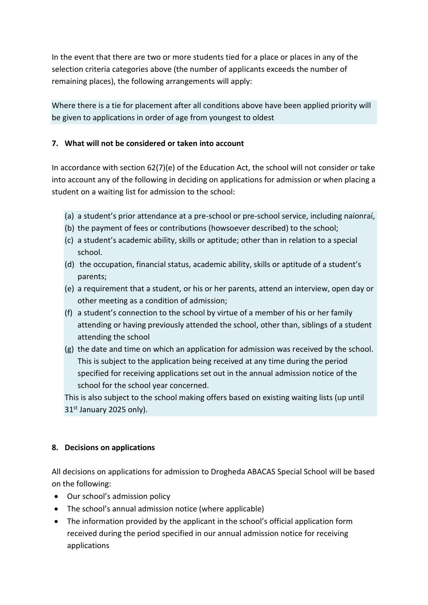In the event that there are two or more students tied for a place or places in any of the selection criteria categories above (the number of applicants exceeds the number of remaining places), the following arrangements will apply:

Where there is a tie for placement after all conditions above have been applied priority will be given to applications in order of age from youngest to oldest

# **7. What will not be considered or taken into account**

In accordance with section 62(7)(e) of the Education Act, the school will not consider or take into account any of the following in deciding on applications for admission or when placing a student on a waiting list for admission to the school:

- (a) a student's prior attendance at a pre-school or pre-school service, including naíonraí,
- (b) the payment of fees or contributions (howsoever described) to the school;
- (c) a student's academic ability, skills or aptitude; other than in relation to a special school.
- (d) the occupation, financial status, academic ability, skills or aptitude of a student's parents;
- (e) a requirement that a student, or his or her parents, attend an interview, open day or other meeting as a condition of admission;
- (f) a student's connection to the school by virtue of a member of his or her family attending or having previously attended the school, other than, siblings of a student attending the school
- (g) the date and time on which an application for admission was received by the school. This is subject to the application being received at any time during the period specified for receiving applications set out in the annual admission notice of the school for the school year concerned.

This is also subject to the school making offers based on existing waiting lists (up until 31<sup>st</sup> January 2025 only).

## **8. Decisions on applications**

All decisions on applications for admission to Drogheda ABACAS Special School will be based on the following:

- Our school's admission policy
- The school's annual admission notice (where applicable)
- The information provided by the applicant in the school's official application form received during the period specified in our annual admission notice for receiving applications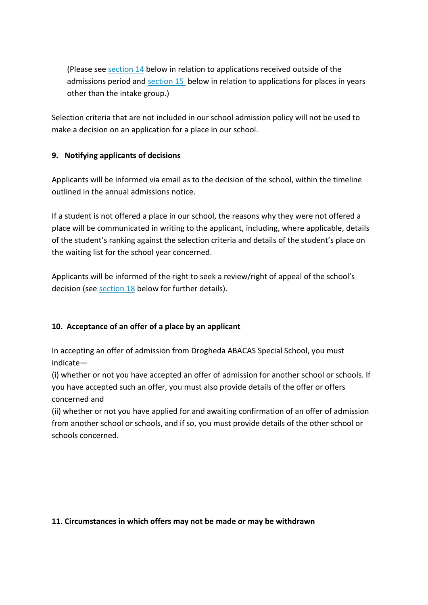(Please see section 14 below in relation to applications received outside of the admissions period and section 15 below in relation to applications for places in years other than the intake group.)

Selection criteria that are not included in our school admission policy will not be used to make a decision on an application for a place in our school.

## **9. Notifying applicants of decisions**

Applicants will be informed via email as to the decision of the school, within the timeline outlined in the annual admissions notice.

If a student is not offered a place in our school, the reasons why they were not offered a place will be communicated in writing to the applicant, including, where applicable, details of the student's ranking against the selection criteria and details of the student's place on the waiting list for the school year concerned.

Applicants will be informed of the right to seek a review/right of appeal of the school's decision (see section 18 below for further details).

# **10. Acceptance of an offer of a place by an applicant**

In accepting an offer of admission from Drogheda ABACAS Special School, you must indicate—

(i) whether or not you have accepted an offer of admission for another school or schools. If you have accepted such an offer, you must also provide details of the offer or offers concerned and

(ii) whether or not you have applied for and awaiting confirmation of an offer of admission from another school or schools, and if so, you must provide details of the other school or schools concerned.

**11. Circumstances in which offers may not be made or may be withdrawn**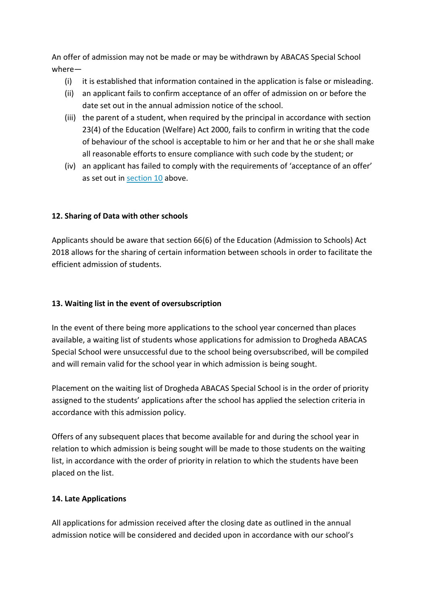An offer of admission may not be made or may be withdrawn by ABACAS Special School where—

- (i) it is established that information contained in the application is false or misleading.
- (ii) an applicant fails to confirm acceptance of an offer of admission on or before the date set out in the annual admission notice of the school.
- (iii) the parent of a student, when required by the principal in accordance with section 23(4) of the Education (Welfare) Act 2000, fails to confirm in writing that the code of behaviour of the school is acceptable to him or her and that he or she shall make all reasonable efforts to ensure compliance with such code by the student; or
- (iv) an applicant has failed to comply with the requirements of 'acceptance of an offer' as set out in section 10 above.

## **12. Sharing of Data with other schools**

Applicants should be aware that section 66(6) of the Education (Admission to Schools) Act 2018 allows for the sharing of certain information between schools in order to facilitate the efficient admission of students.

## **13. Waiting list in the event of oversubscription**

In the event of there being more applications to the school year concerned than places available, a waiting list of students whose applications for admission to Drogheda ABACAS Special School were unsuccessful due to the school being oversubscribed, will be compiled and will remain valid for the school year in which admission is being sought.

Placement on the waiting list of Drogheda ABACAS Special School is in the order of priority assigned to the students' applications after the school has applied the selection criteria in accordance with this admission policy.

Offers of any subsequent places that become available for and during the school year in relation to which admission is being sought will be made to those students on the waiting list, in accordance with the order of priority in relation to which the students have been placed on the list.

## **14. Late Applications**

All applications for admission received after the closing date as outlined in the annual admission notice will be considered and decided upon in accordance with our school's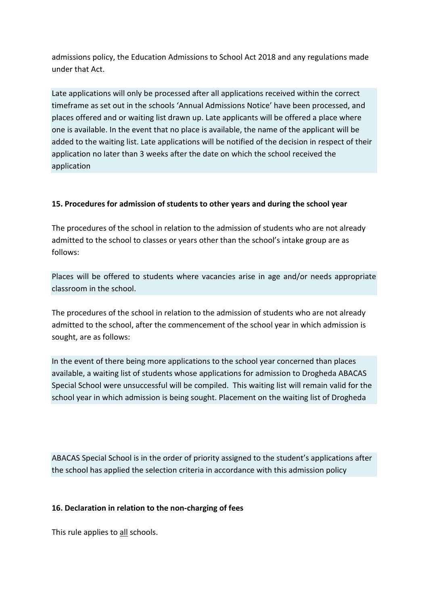admissions policy, the Education Admissions to School Act 2018 and any regulations made under that Act.

Late applications will only be processed after all applications received within the correct timeframe as set out in the schools 'Annual Admissions Notice' have been processed, and places offered and or waiting list drawn up. Late applicants will be offered a place where one is available. In the event that no place is available, the name of the applicant will be added to the waiting list. Late applications will be notified of the decision in respect of their application no later than 3 weeks after the date on which the school received the application

## **15. Procedures for admission of students to other years and during the school year**

The procedures of the school in relation to the admission of students who are not already admitted to the school to classes or years other than the school's intake group are as follows:

Places will be offered to students where vacancies arise in age and/or needs appropriate classroom in the school.

The procedures of the school in relation to the admission of students who are not already admitted to the school, after the commencement of the school year in which admission is sought, are as follows:

In the event of there being more applications to the school year concerned than places available, a waiting list of students whose applications for admission to Drogheda ABACAS Special School were unsuccessful will be compiled. This waiting list will remain valid for the school year in which admission is being sought. Placement on the waiting list of Drogheda

ABACAS Special School is in the order of priority assigned to the student's applications after the school has applied the selection criteria in accordance with this admission policy

## **16. Declaration in relation to the non-charging of fees**

This rule applies to all schools.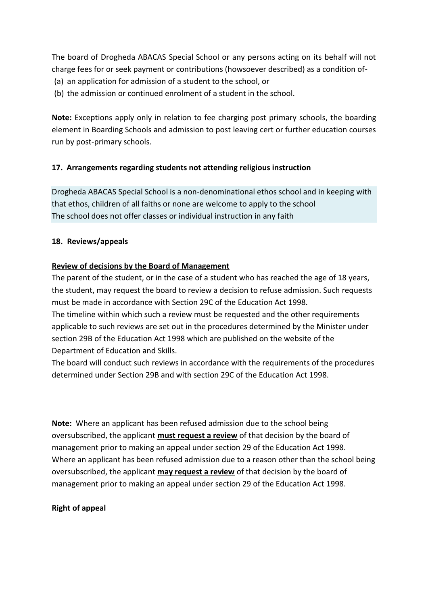The board of Drogheda ABACAS Special School or any persons acting on its behalf will not charge fees for or seek payment or contributions (howsoever described) as a condition of-

- (a) an application for admission of a student to the school, or
- (b) the admission or continued enrolment of a student in the school.

**Note:** Exceptions apply only in relation to fee charging post primary schools, the boarding element in Boarding Schools and admission to post leaving cert or further education courses run by post-primary schools.

## **17. Arrangements regarding students not attending religious instruction**

Drogheda ABACAS Special School is a non-denominational ethos school and in keeping with that ethos, children of all faiths or none are welcome to apply to the school The school does not offer classes or individual instruction in any faith

## **18. Reviews/appeals**

## **Review of decisions by the Board of Management**

The parent of the student, or in the case of a student who has reached the age of 18 years, the student, may request the board to review a decision to refuse admission. Such requests must be made in accordance with Section 29C of the Education Act 1998.

The timeline within which such a review must be requested and the other requirements applicable to such reviews are set out in the procedures determined by the Minister under section 29B of the Education Act 1998 which are published on the website of the Department of Education and Skills.

The board will conduct such reviews in accordance with the requirements of the procedures determined under Section 29B and with section 29C of the Education Act 1998.

**Note:** Where an applicant has been refused admission due to the school being oversubscribed, the applicant **must request a review** of that decision by the board of management prior to making an appeal under section 29 of the Education Act 1998. Where an applicant has been refused admission due to a reason other than the school being oversubscribed, the applicant **may request a review** of that decision by the board of management prior to making an appeal under section 29 of the Education Act 1998.

# **Right of appeal**